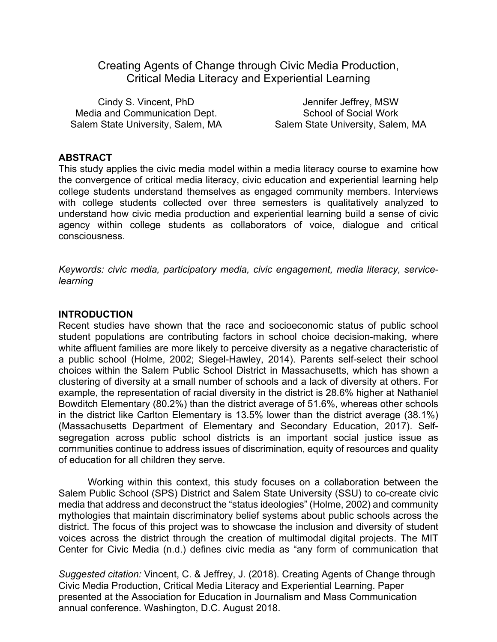Creating Agents of Change through Civic Media Production, Critical Media Literacy and Experiential Learning

Cindy S. Vincent, PhD Media and Communication Dept. Salem State University, Salem, MA

Jennifer Jeffrey, MSW School of Social Work Salem State University, Salem, MA

#### **ABSTRACT**

This study applies the civic media model within a media literacy course to examine how the convergence of critical media literacy, civic education and experiential learning help college students understand themselves as engaged community members. Interviews with college students collected over three semesters is qualitatively analyzed to understand how civic media production and experiential learning build a sense of civic agency within college students as collaborators of voice, dialogue and critical consciousness.

*Keywords: civic media, participatory media, civic engagement, media literacy, servicelearning*

#### **INTRODUCTION**

Recent studies have shown that the race and socioeconomic status of public school student populations are contributing factors in school choice decision-making, where white affluent families are more likely to perceive diversity as a negative characteristic of a public school (Holme, 2002; Siegel-Hawley, 2014). Parents self-select their school choices within the Salem Public School District in Massachusetts, which has shown a clustering of diversity at a small number of schools and a lack of diversity at others. For example, the representation of racial diversity in the district is 28.6% higher at Nathaniel Bowditch Elementary (80.2%) than the district average of 51.6%, whereas other schools in the district like Carlton Elementary is 13.5% lower than the district average (38.1%) (Massachusetts Department of Elementary and Secondary Education, 2017). Selfsegregation across public school districts is an important social justice issue as communities continue to address issues of discrimination, equity of resources and quality of education for all children they serve.

Working within this context, this study focuses on a collaboration between the Salem Public School (SPS) District and Salem State University (SSU) to co-create civic media that address and deconstruct the "status ideologies" (Holme, 2002) and community mythologies that maintain discriminatory belief systems about public schools across the district. The focus of this project was to showcase the inclusion and diversity of student voices across the district through the creation of multimodal digital projects. The MIT Center for Civic Media (n.d.) defines civic media as "any form of communication that

*Suggested citation:* Vincent, C. & Jeffrey, J. (2018). Creating Agents of Change through Civic Media Production, Critical Media Literacy and Experiential Learning. Paper presented at the Association for Education in Journalism and Mass Communication annual conference. Washington, D.C. August 2018.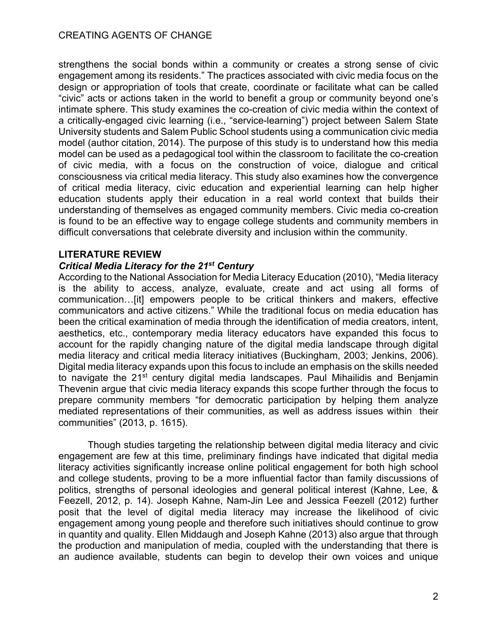strengthens the social bonds within a community or creates a strong sense of civic engagement among its residents." The practices associated with civic media focus on the design or appropriation of tools that create, coordinate or facilitate what can be called "civic" acts or actions taken in the world to benefit a group or community beyond one's intimate sphere. This study examines the co-creation of civic media within the context of a critically-engaged civic learning (i.e., "service-learning") project between Salem State University students and Salem Public School students using a communication civic media model (author citation, 2014). The purpose of this study is to understand how this media model can be used as a pedagogical tool within the classroom to facilitate the co-creation of civic media, with a focus on the construction of voice, dialogue and critical consciousness via critical media literacy. This study also examines how the convergence of critical media literacy, civic education and experiential learning can help higher education students apply their education in a real world context that builds their understanding of themselves as engaged community members. Civic media co-creation is found to be an effective way to engage college students and community members in difficult conversations that celebrate diversity and inclusion within the community.

# **LITERATURE REVIEW**

# *Critical Media Literacy for the 21st Century*

According to the National Association for Media Literacy Education (2010), "Media literacy is the ability to access, analyze, evaluate, create and act using all forms of communication…[it] empowers people to be critical thinkers and makers, effective communicators and active citizens." While the traditional focus on media education has been the critical examination of media through the identification of media creators, intent, aesthetics, etc., contemporary media literacy educators have expanded this focus to account for the rapidly changing nature of the digital media landscape through digital media literacy and critical media literacy initiatives (Buckingham, 2003; Jenkins, 2006). Digital media literacy expands upon this focus to include an emphasis on the skills needed to navigate the 21<sup>st</sup> century digital media landscapes. Paul Mihailidis and Benjamin Thevenin argue that civic media literacy expands this scope further through the focus to prepare community members "for democratic participation by helping them analyze mediated representations of their communities, as well as address issues within their communities" (2013, p. 1615).

Though studies targeting the relationship between digital media literacy and civic engagement are few at this time, preliminary findings have indicated that digital media literacy activities significantly increase online political engagement for both high school and college students, proving to be a more influential factor than family discussions of politics, strengths of personal ideologies and general political interest (Kahne, Lee, & Feezell, 2012, p. 14). Joseph Kahne, Nam-Jin Lee and Jessica Feezell (2012) further posit that the level of digital media literacy may increase the likelihood of civic engagement among young people and therefore such initiatives should continue to grow in quantity and quality. Ellen Middaugh and Joseph Kahne (2013) also argue that through the production and manipulation of media, coupled with the understanding that there is an audience available, students can begin to develop their own voices and unique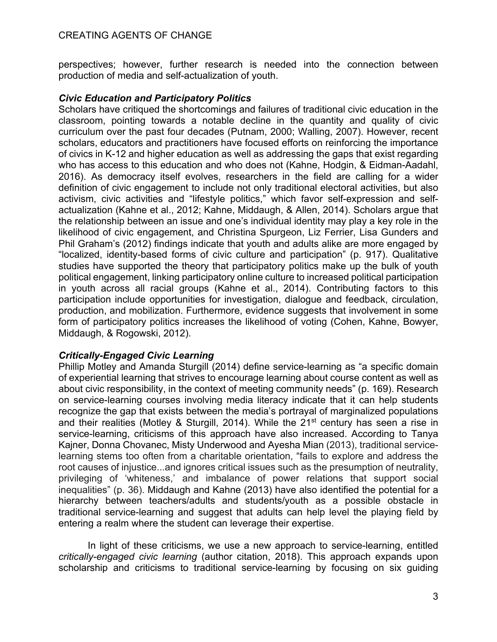perspectives; however, further research is needed into the connection between production of media and self-actualization of youth.

# *Civic Education and Participatory Politics*

Scholars have critiqued the shortcomings and failures of traditional civic education in the classroom, pointing towards a notable decline in the quantity and quality of civic curriculum over the past four decades (Putnam, 2000; Walling, 2007). However, recent scholars, educators and practitioners have focused efforts on reinforcing the importance of civics in K-12 and higher education as well as addressing the gaps that exist regarding who has access to this education and who does not (Kahne, Hodgin, & Eidman-Aadahl, 2016). As democracy itself evolves, researchers in the field are calling for a wider definition of civic engagement to include not only traditional electoral activities, but also activism, civic activities and "lifestyle politics," which favor self-expression and selfactualization (Kahne et al., 2012; Kahne, Middaugh, & Allen, 2014). Scholars argue that the relationship between an issue and one's individual identity may play a key role in the likelihood of civic engagement, and Christina Spurgeon, Liz Ferrier, Lisa Gunders and Phil Graham's (2012) findings indicate that youth and adults alike are more engaged by "localized, identity-based forms of civic culture and participation" (p. 917). Qualitative studies have supported the theory that participatory politics make up the bulk of youth political engagement, linking participatory online culture to increased political participation in youth across all racial groups (Kahne et al., 2014). Contributing factors to this participation include opportunities for investigation, dialogue and feedback, circulation, production, and mobilization. Furthermore, evidence suggests that involvement in some form of participatory politics increases the likelihood of voting (Cohen, Kahne, Bowyer, Middaugh, & Rogowski, 2012).

# *Critically-Engaged Civic Learning*

Phillip Motley and Amanda Sturgill (2014) define service-learning as "a specific domain of experiential learning that strives to encourage learning about course content as well as about civic responsibility, in the context of meeting community needs" (p. 169). Research on service-learning courses involving media literacy indicate that it can help students recognize the gap that exists between the media's portrayal of marginalized populations and their realities (Motley & Sturgill, 2014). While the 21<sup>st</sup> century has seen a rise in service-learning, criticisms of this approach have also increased. According to Tanya Kajner, Donna Chovanec, Misty Underwood and Ayesha Mian (2013), traditional servicelearning stems too often from a charitable orientation, "fails to explore and address the root causes of injustice...and ignores critical issues such as the presumption of neutrality, privileging of 'whiteness,' and imbalance of power relations that support social inequalities" (p. 36). Middaugh and Kahne (2013) have also identified the potential for a hierarchy between teachers/adults and students/youth as a possible obstacle in traditional service-learning and suggest that adults can help level the playing field by entering a realm where the student can leverage their expertise.

In light of these criticisms, we use a new approach to service-learning, entitled *critically-engaged civic learning* (author citation, 2018). This approach expands upon scholarship and criticisms to traditional service-learning by focusing on six guiding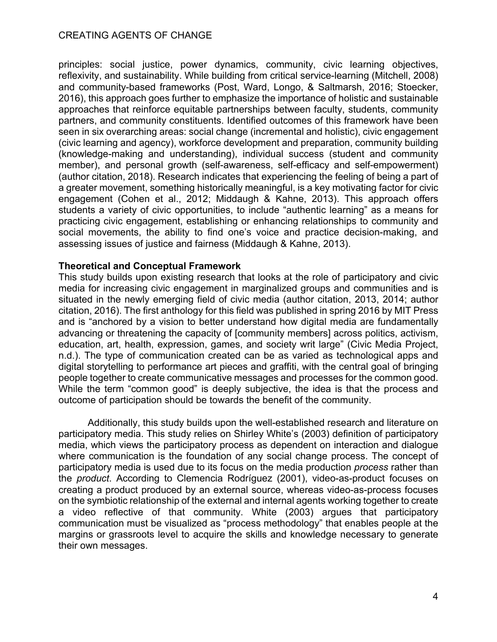principles: social justice, power dynamics, community, civic learning objectives, reflexivity, and sustainability. While building from critical service-learning (Mitchell, 2008) and community-based frameworks (Post, Ward, Longo, & Saltmarsh, 2016; Stoecker, 2016), this approach goes further to emphasize the importance of holistic and sustainable approaches that reinforce equitable partnerships between faculty, students, community partners, and community constituents. Identified outcomes of this framework have been seen in six overarching areas: social change (incremental and holistic), civic engagement (civic learning and agency), workforce development and preparation, community building (knowledge-making and understanding), individual success (student and community member), and personal growth (self-awareness, self-efficacy and self-empowerment) (author citation, 2018). Research indicates that experiencing the feeling of being a part of a greater movement, something historically meaningful, is a key motivating factor for civic engagement (Cohen et al., 2012; Middaugh & Kahne, 2013). This approach offers students a variety of civic opportunities, to include "authentic learning" as a means for practicing civic engagement, establishing or enhancing relationships to community and social movements, the ability to find one's voice and practice decision-making, and assessing issues of justice and fairness (Middaugh & Kahne, 2013).

#### **Theoretical and Conceptual Framework**

This study builds upon existing research that looks at the role of participatory and civic media for increasing civic engagement in marginalized groups and communities and is situated in the newly emerging field of civic media (author citation, 2013, 2014; author citation, 2016). The first anthology for this field was published in spring 2016 by MIT Press and is "anchored by a vision to better understand how digital media are fundamentally advancing or threatening the capacity of [community members] across politics, activism, education, art, health, expression, games, and society writ large" (Civic Media Project, n.d.). The type of communication created can be as varied as technological apps and digital storytelling to performance art pieces and graffiti, with the central goal of bringing people together to create communicative messages and processes for the common good. While the term "common good" is deeply subjective, the idea is that the process and outcome of participation should be towards the benefit of the community.

Additionally, this study builds upon the well-established research and literature on participatory media. This study relies on Shirley White's (2003) definition of participatory media, which views the participatory process as dependent on interaction and dialogue where communication is the foundation of any social change process. The concept of participatory media is used due to its focus on the media production *process* rather than the *product*. According to Clemencia Rodríguez (2001), video-as-product focuses on creating a product produced by an external source, whereas video-as-process focuses on the symbiotic relationship of the external and internal agents working together to create a video reflective of that community. White (2003) argues that participatory communication must be visualized as "process methodology" that enables people at the margins or grassroots level to acquire the skills and knowledge necessary to generate their own messages.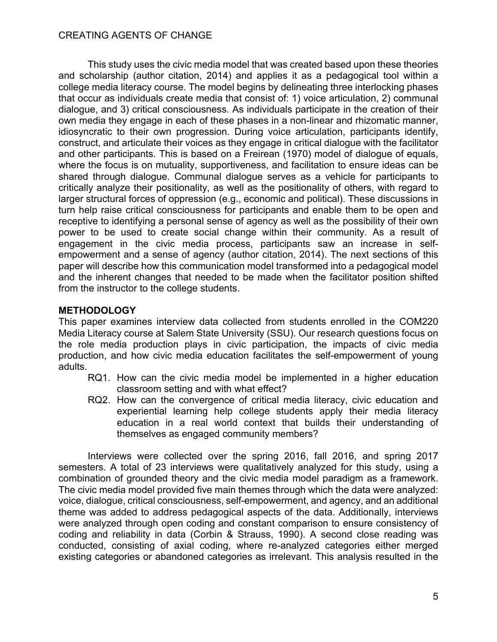This study uses the civic media model that was created based upon these theories and scholarship (author citation, 2014) and applies it as a pedagogical tool within a college media literacy course. The model begins by delineating three interlocking phases that occur as individuals create media that consist of: 1) voice articulation, 2) communal dialogue, and 3) critical consciousness. As individuals participate in the creation of their own media they engage in each of these phases in a non-linear and rhizomatic manner, idiosyncratic to their own progression. During voice articulation, participants identify, construct, and articulate their voices as they engage in critical dialogue with the facilitator and other participants. This is based on a Freirean (1970) model of dialogue of equals, where the focus is on mutuality, supportiveness, and facilitation to ensure ideas can be shared through dialogue. Communal dialogue serves as a vehicle for participants to critically analyze their positionality, as well as the positionality of others, with regard to larger structural forces of oppression (e.g., economic and political). These discussions in turn help raise critical consciousness for participants and enable them to be open and receptive to identifying a personal sense of agency as well as the possibility of their own power to be used to create social change within their community. As a result of engagement in the civic media process, participants saw an increase in selfempowerment and a sense of agency (author citation, 2014). The next sections of this paper will describe how this communication model transformed into a pedagogical model and the inherent changes that needed to be made when the facilitator position shifted from the instructor to the college students.

# **METHODOLOGY**

This paper examines interview data collected from students enrolled in the COM220 Media Literacy course at Salem State University (SSU). Our research questions focus on the role media production plays in civic participation, the impacts of civic media production, and how civic media education facilitates the self-empowerment of young adults.

- RQ1. How can the civic media model be implemented in a higher education classroom setting and with what effect?
- RQ2. How can the convergence of critical media literacy, civic education and experiential learning help college students apply their media literacy education in a real world context that builds their understanding of themselves as engaged community members?

Interviews were collected over the spring 2016, fall 2016, and spring 2017 semesters. A total of 23 interviews were qualitatively analyzed for this study, using a combination of grounded theory and the civic media model paradigm as a framework. The civic media model provided five main themes through which the data were analyzed: voice, dialogue, critical consciousness, self-empowerment, and agency, and an additional theme was added to address pedagogical aspects of the data. Additionally, interviews were analyzed through open coding and constant comparison to ensure consistency of coding and reliability in data (Corbin & Strauss, 1990). A second close reading was conducted, consisting of axial coding, where re-analyzed categories either merged existing categories or abandoned categories as irrelevant. This analysis resulted in the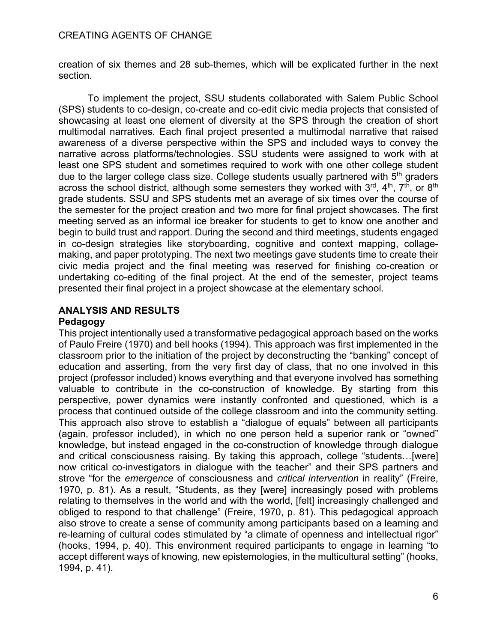creation of six themes and 28 sub-themes, which will be explicated further in the next section.

To implement the project, SSU students collaborated with Salem Public School (SPS) students to co-design, co-create and co-edit civic media projects that consisted of showcasing at least one element of diversity at the SPS through the creation of short multimodal narratives. Each final project presented a multimodal narrative that raised awareness of a diverse perspective within the SPS and included ways to convey the narrative across platforms/technologies. SSU students were assigned to work with at least one SPS student and sometimes required to work with one other college student due to the larger college class size. College students usually partnered with  $5<sup>th</sup>$  graders across the school district, although some semesters they worked with  $3<sup>rd</sup>$ ,  $4<sup>th</sup>$ ,  $7<sup>th</sup>$ , or  $8<sup>th</sup>$ grade students. SSU and SPS students met an average of six times over the course of the semester for the project creation and two more for final project showcases. The first meeting served as an informal ice breaker for students to get to know one another and begin to build trust and rapport. During the second and third meetings, students engaged in co-design strategies like storyboarding, cognitive and context mapping, collagemaking, and paper prototyping. The next two meetings gave students time to create their civic media project and the final meeting was reserved for finishing co-creation or undertaking co-editing of the final project. At the end of the semester, project teams presented their final project in a project showcase at the elementary school.

# **ANALYSIS AND RESULTS**

# **Pedagogy**

This project intentionally used a transformative pedagogical approach based on the works of Paulo Freire (1970) and bell hooks (1994). This approach was first implemented in the classroom prior to the initiation of the project by deconstructing the "banking" concept of education and asserting, from the very first day of class, that no one involved in this project (professor included) knows everything and that everyone involved has something valuable to contribute in the co-construction of knowledge. By starting from this perspective, power dynamics were instantly confronted and questioned, which is a process that continued outside of the college classroom and into the community setting. This approach also strove to establish a "dialogue of equals" between all participants (again, professor included), in which no one person held a superior rank or "owned" knowledge, but instead engaged in the co-construction of knowledge through dialogue and critical consciousness raising. By taking this approach, college "students…[were] now critical co-investigators in dialogue with the teacher" and their SPS partners and strove "for the *emergence* of consciousness and *critical intervention* in reality" (Freire, 1970, p. 81). As a result, "Students, as they [were] increasingly posed with problems relating to themselves in the world and with the world, [felt] increasingly challenged and obliged to respond to that challenge" (Freire, 1970, p. 81). This pedagogical approach also strove to create a sense of community among participants based on a learning and re-learning of cultural codes stimulated by "a climate of openness and intellectual rigor" (hooks, 1994, p. 40). This environment required participants to engage in learning "to accept different ways of knowing, new epistemologies, in the multicultural setting" (hooks, 1994, p. 41).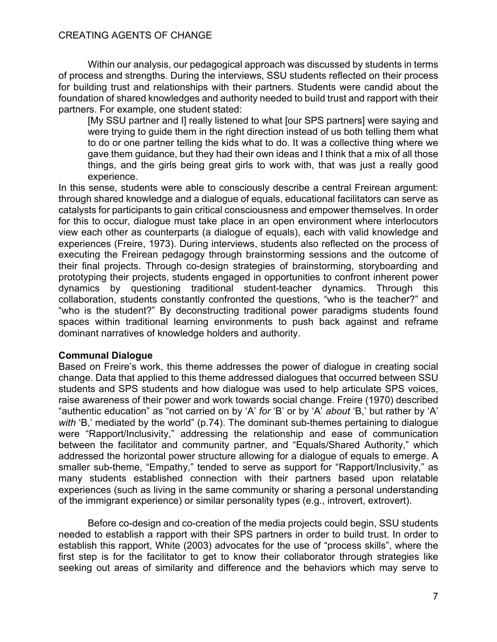Within our analysis, our pedagogical approach was discussed by students in terms of process and strengths. During the interviews, SSU students reflected on their process for building trust and relationships with their partners. Students were candid about the foundation of shared knowledges and authority needed to build trust and rapport with their partners. For example, one student stated:

[My SSU partner and I] really listened to what [our SPS partners] were saying and were trying to guide them in the right direction instead of us both telling them what to do or one partner telling the kids what to do. It was a collective thing where we gave them guidance, but they had their own ideas and I think that a mix of all those things, and the girls being great girls to work with, that was just a really good experience.

In this sense, students were able to consciously describe a central Freirean argument: through shared knowledge and a dialogue of equals, educational facilitators can serve as catalysts for participants to gain critical consciousness and empower themselves. In order for this to occur, dialogue must take place in an open environment where interlocutors view each other as counterparts (a dialogue of equals), each with valid knowledge and experiences (Freire, 1973). During interviews, students also reflected on the process of executing the Freirean pedagogy through brainstorming sessions and the outcome of their final projects. Through co-design strategies of brainstorming, storyboarding and prototyping their projects, students engaged in opportunities to confront inherent power dynamics by questioning traditional student-teacher dynamics. Through this collaboration, students constantly confronted the questions, "who is the teacher?" and "who is the student?" By deconstructing traditional power paradigms students found spaces within traditional learning environments to push back against and reframe dominant narratives of knowledge holders and authority.

#### **Communal Dialogue**

Based on Freire's work, this theme addresses the power of dialogue in creating social change. Data that applied to this theme addressed dialogues that occurred between SSU students and SPS students and how dialogue was used to help articulate SPS voices, raise awareness of their power and work towards social change. Freire (1970) described "authentic education" as "not carried on by 'A' *for* 'B' or by 'A' *about* 'B,' but rather by 'A' *with* 'B,' mediated by the world" (p.74). The dominant sub-themes pertaining to dialogue were "Rapport/Inclusivity," addressing the relationship and ease of communication between the facilitator and community partner, and "Equals/Shared Authority," which addressed the horizontal power structure allowing for a dialogue of equals to emerge. A smaller sub-theme, "Empathy," tended to serve as support for "Rapport/Inclusivity," as many students established connection with their partners based upon relatable experiences (such as living in the same community or sharing a personal understanding of the immigrant experience) or similar personality types (e.g., introvert, extrovert).

Before co-design and co-creation of the media projects could begin, SSU students needed to establish a rapport with their SPS partners in order to build trust. In order to establish this rapport, White (2003) advocates for the use of "process skills", where the first step is for the facilitator to get to know their collaborator through strategies like seeking out areas of similarity and difference and the behaviors which may serve to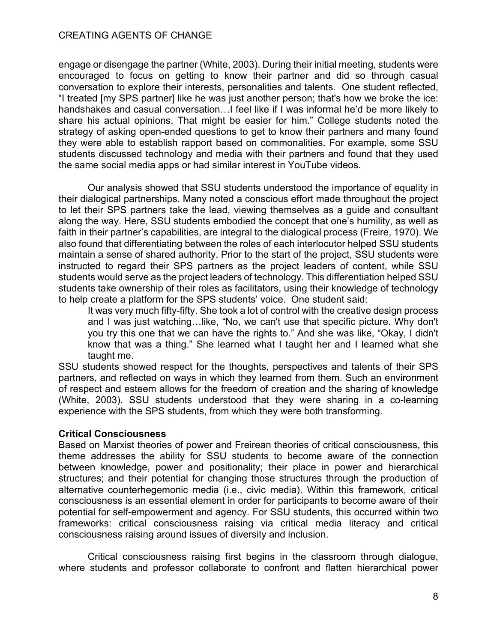engage or disengage the partner (White, 2003). During their initial meeting, students were encouraged to focus on getting to know their partner and did so through casual conversation to explore their interests, personalities and talents. One student reflected, "I treated [my SPS partner] like he was just another person; that's how we broke the ice: handshakes and casual conversation...I feel like if I was informal he'd be more likely to share his actual opinions. That might be easier for him." College students noted the strategy of asking open-ended questions to get to know their partners and many found they were able to establish rapport based on commonalities. For example, some SSU students discussed technology and media with their partners and found that they used the same social media apps or had similar interest in YouTube videos.

Our analysis showed that SSU students understood the importance of equality in their dialogical partnerships. Many noted a conscious effort made throughout the project to let their SPS partners take the lead, viewing themselves as a guide and consultant along the way. Here, SSU students embodied the concept that one's humility, as well as faith in their partner's capabilities, are integral to the dialogical process (Freire, 1970). We also found that differentiating between the roles of each interlocutor helped SSU students maintain a sense of shared authority. Prior to the start of the project, SSU students were instructed to regard their SPS partners as the project leaders of content, while SSU students would serve as the project leaders of technology. This differentiation helped SSU students take ownership of their roles as facilitators, using their knowledge of technology to help create a platform for the SPS students' voice. One student said:

It was very much fifty-fifty. She took a lot of control with the creative design process and I was just watching…like, "No, we can't use that specific picture. Why don't you try this one that we can have the rights to." And she was like, "Okay, I didn't know that was a thing." She learned what I taught her and I learned what she taught me.

SSU students showed respect for the thoughts, perspectives and talents of their SPS partners, and reflected on ways in which they learned from them. Such an environment of respect and esteem allows for the freedom of creation and the sharing of knowledge (White, 2003). SSU students understood that they were sharing in a co-learning experience with the SPS students, from which they were both transforming.

# **Critical Consciousness**

Based on Marxist theories of power and Freirean theories of critical consciousness, this theme addresses the ability for SSU students to become aware of the connection between knowledge, power and positionality; their place in power and hierarchical structures; and their potential for changing those structures through the production of alternative counterhegemonic media (i.e., civic media). Within this framework, critical consciousness is an essential element in order for participants to become aware of their potential for self-empowerment and agency. For SSU students, this occurred within two frameworks: critical consciousness raising via critical media literacy and critical consciousness raising around issues of diversity and inclusion.

Critical consciousness raising first begins in the classroom through dialogue, where students and professor collaborate to confront and flatten hierarchical power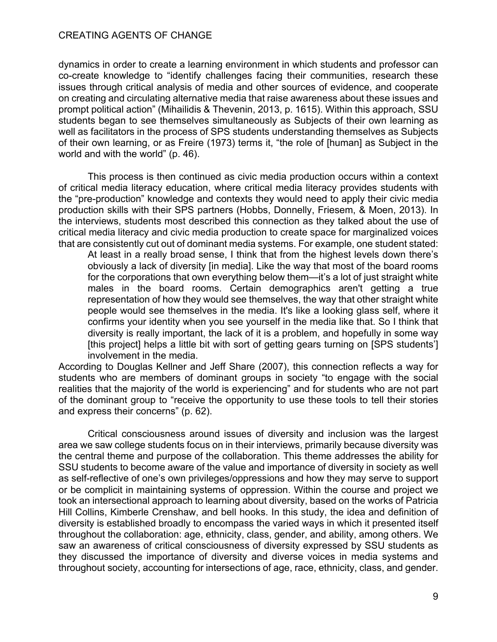dynamics in order to create a learning environment in which students and professor can co-create knowledge to "identify challenges facing their communities, research these issues through critical analysis of media and other sources of evidence, and cooperate on creating and circulating alternative media that raise awareness about these issues and prompt political action" (Mihailidis & Thevenin, 2013, p. 1615). Within this approach, SSU students began to see themselves simultaneously as Subjects of their own learning as well as facilitators in the process of SPS students understanding themselves as Subjects of their own learning, or as Freire (1973) terms it, "the role of [human] as Subject in the world and with the world" (p. 46).

 This process is then continued as civic media production occurs within a context of critical media literacy education, where critical media literacy provides students with the "pre-production" knowledge and contexts they would need to apply their civic media production skills with their SPS partners (Hobbs, Donnelly, Friesem, & Moen, 2013). In the interviews, students most described this connection as they talked about the use of critical media literacy and civic media production to create space for marginalized voices that are consistently cut out of dominant media systems. For example, one student stated:

At least in a really broad sense, I think that from the highest levels down there's obviously a lack of diversity [in media]. Like the way that most of the board rooms for the corporations that own everything below them—it's a lot of just straight white males in the board rooms. Certain demographics aren't getting a true representation of how they would see themselves, the way that other straight white people would see themselves in the media. It's like a looking glass self, where it confirms your identity when you see yourself in the media like that. So I think that diversity is really important, the lack of it is a problem, and hopefully in some way [this project] helps a little bit with sort of getting gears turning on [SPS students'] involvement in the media.

According to Douglas Kellner and Jeff Share (2007), this connection reflects a way for students who are members of dominant groups in society "to engage with the social realities that the majority of the world is experiencing" and for students who are not part of the dominant group to "receive the opportunity to use these tools to tell their stories and express their concerns" (p. 62).

Critical consciousness around issues of diversity and inclusion was the largest area we saw college students focus on in their interviews, primarily because diversity was the central theme and purpose of the collaboration. This theme addresses the ability for SSU students to become aware of the value and importance of diversity in society as well as self-reflective of one's own privileges/oppressions and how they may serve to support or be complicit in maintaining systems of oppression. Within the course and project we took an intersectional approach to learning about diversity, based on the works of Patricia Hill Collins, Kimberle Crenshaw, and bell hooks. In this study, the idea and definition of diversity is established broadly to encompass the varied ways in which it presented itself throughout the collaboration: age, ethnicity, class, gender, and ability, among others. We saw an awareness of critical consciousness of diversity expressed by SSU students as they discussed the importance of diversity and diverse voices in media systems and throughout society, accounting for intersections of age, race, ethnicity, class, and gender.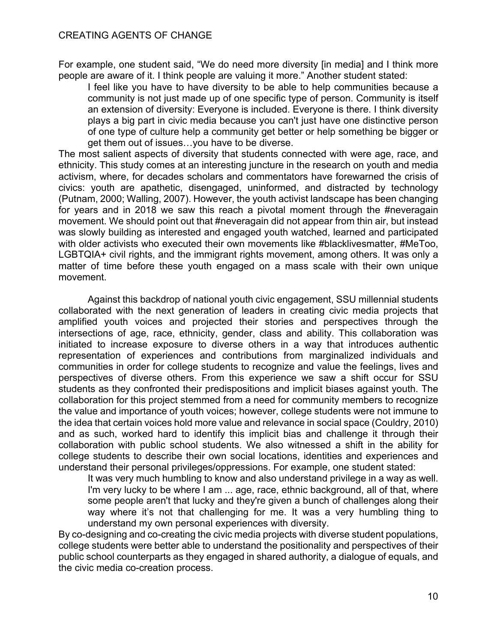For example, one student said, "We do need more diversity [in media] and I think more people are aware of it. I think people are valuing it more." Another student stated:

I feel like you have to have diversity to be able to help communities because a community is not just made up of one specific type of person. Community is itself an extension of diversity: Everyone is included. Everyone is there. I think diversity plays a big part in civic media because you can't just have one distinctive person of one type of culture help a community get better or help something be bigger or get them out of issues…you have to be diverse.

The most salient aspects of diversity that students connected with were age, race, and ethnicity. This study comes at an interesting juncture in the research on youth and media activism, where, for decades scholars and commentators have forewarned the crisis of civics: youth are apathetic, disengaged, uninformed, and distracted by technology (Putnam, 2000; Walling, 2007). However, the youth activist landscape has been changing for years and in 2018 we saw this reach a pivotal moment through the #neveragain movement. We should point out that #neveragain did not appear from thin air, but instead was slowly building as interested and engaged youth watched, learned and participated with older activists who executed their own movements like #blacklivesmatter, #MeToo, LGBTQIA+ civil rights, and the immigrant rights movement, among others. It was only a matter of time before these youth engaged on a mass scale with their own unique movement.

Against this backdrop of national youth civic engagement, SSU millennial students collaborated with the next generation of leaders in creating civic media projects that amplified youth voices and projected their stories and perspectives through the intersections of age, race, ethnicity, gender, class and ability. This collaboration was initiated to increase exposure to diverse others in a way that introduces authentic representation of experiences and contributions from marginalized individuals and communities in order for college students to recognize and value the feelings, lives and perspectives of diverse others. From this experience we saw a shift occur for SSU students as they confronted their predispositions and implicit biases against youth. The collaboration for this project stemmed from a need for community members to recognize the value and importance of youth voices; however, college students were not immune to the idea that certain voices hold more value and relevance in social space (Couldry, 2010) and as such, worked hard to identify this implicit bias and challenge it through their collaboration with public school students. We also witnessed a shift in the ability for college students to describe their own social locations, identities and experiences and understand their personal privileges/oppressions. For example, one student stated:

It was very much humbling to know and also understand privilege in a way as well. I'm very lucky to be where I am ... age, race, ethnic background, all of that, where some people aren't that lucky and they're given a bunch of challenges along their way where it's not that challenging for me. It was a very humbling thing to understand my own personal experiences with diversity.

By co-designing and co-creating the civic media projects with diverse student populations, college students were better able to understand the positionality and perspectives of their public school counterparts as they engaged in shared authority, a dialogue of equals, and the civic media co-creation process.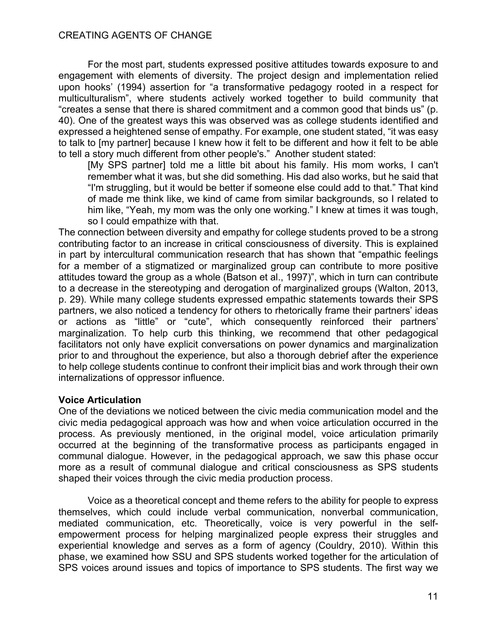For the most part, students expressed positive attitudes towards exposure to and engagement with elements of diversity. The project design and implementation relied upon hooks' (1994) assertion for "a transformative pedagogy rooted in a respect for multiculturalism", where students actively worked together to build community that "creates a sense that there is shared commitment and a common good that binds us" (p. 40). One of the greatest ways this was observed was as college students identified and expressed a heightened sense of empathy. For example, one student stated, "it was easy to talk to [my partner] because I knew how it felt to be different and how it felt to be able to tell a story much different from other people's." Another student stated:

[My SPS partner] told me a little bit about his family. His mom works, I can't remember what it was, but she did something. His dad also works, but he said that "I'm struggling, but it would be better if someone else could add to that." That kind of made me think like, we kind of came from similar backgrounds, so I related to him like, "Yeah, my mom was the only one working." I knew at times it was tough, so I could empathize with that.

The connection between diversity and empathy for college students proved to be a strong contributing factor to an increase in critical consciousness of diversity. This is explained in part by intercultural communication research that has shown that "empathic feelings for a member of a stigmatized or marginalized group can contribute to more positive attitudes toward the group as a whole (Batson et al., 1997)", which in turn can contribute to a decrease in the stereotyping and derogation of marginalized groups (Walton, 2013, p. 29). While many college students expressed empathic statements towards their SPS partners, we also noticed a tendency for others to rhetorically frame their partners' ideas or actions as "little" or "cute", which consequently reinforced their partners' marginalization. To help curb this thinking, we recommend that other pedagogical facilitators not only have explicit conversations on power dynamics and marginalization prior to and throughout the experience, but also a thorough debrief after the experience to help college students continue to confront their implicit bias and work through their own internalizations of oppressor influence.

# **Voice Articulation**

One of the deviations we noticed between the civic media communication model and the civic media pedagogical approach was how and when voice articulation occurred in the process. As previously mentioned, in the original model, voice articulation primarily occurred at the beginning of the transformative process as participants engaged in communal dialogue. However, in the pedagogical approach, we saw this phase occur more as a result of communal dialogue and critical consciousness as SPS students shaped their voices through the civic media production process.

Voice as a theoretical concept and theme refers to the ability for people to express themselves, which could include verbal communication, nonverbal communication, mediated communication, etc. Theoretically, voice is very powerful in the selfempowerment process for helping marginalized people express their struggles and experiential knowledge and serves as a form of agency (Couldry, 2010). Within this phase, we examined how SSU and SPS students worked together for the articulation of SPS voices around issues and topics of importance to SPS students. The first way we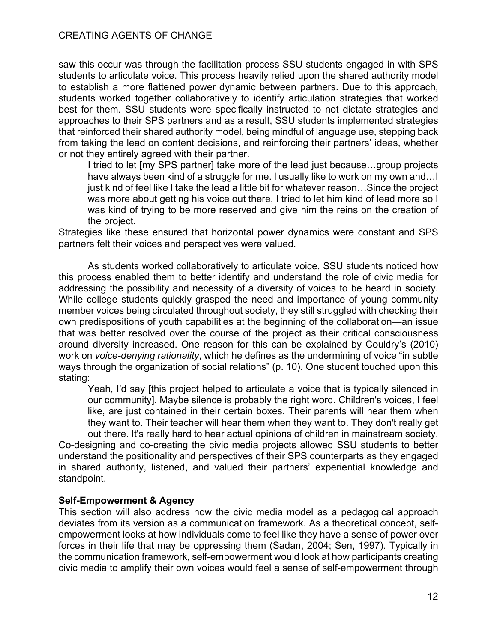saw this occur was through the facilitation process SSU students engaged in with SPS students to articulate voice. This process heavily relied upon the shared authority model to establish a more flattened power dynamic between partners. Due to this approach, students worked together collaboratively to identify articulation strategies that worked best for them. SSU students were specifically instructed to not dictate strategies and approaches to their SPS partners and as a result, SSU students implemented strategies that reinforced their shared authority model, being mindful of language use, stepping back from taking the lead on content decisions, and reinforcing their partners' ideas, whether or not they entirely agreed with their partner.

I tried to let [my SPS partner] take more of the lead just because…group projects have always been kind of a struggle for me. I usually like to work on my own and... I just kind of feel like I take the lead a little bit for whatever reason…Since the project was more about getting his voice out there, I tried to let him kind of lead more so I was kind of trying to be more reserved and give him the reins on the creation of the project.

Strategies like these ensured that horizontal power dynamics were constant and SPS partners felt their voices and perspectives were valued.

As students worked collaboratively to articulate voice, SSU students noticed how this process enabled them to better identify and understand the role of civic media for addressing the possibility and necessity of a diversity of voices to be heard in society. While college students quickly grasped the need and importance of young community member voices being circulated throughout society, they still struggled with checking their own predispositions of youth capabilities at the beginning of the collaboration—an issue that was better resolved over the course of the project as their critical consciousness around diversity increased. One reason for this can be explained by Couldry's (2010) work on *voice-denying rationality*, which he defines as the undermining of voice "in subtle ways through the organization of social relations" (p. 10). One student touched upon this stating:

Yeah, I'd say [this project helped to articulate a voice that is typically silenced in our community]. Maybe silence is probably the right word. Children's voices, I feel like, are just contained in their certain boxes. Their parents will hear them when they want to. Their teacher will hear them when they want to. They don't really get

out there. It's really hard to hear actual opinions of children in mainstream society. Co-designing and co-creating the civic media projects allowed SSU students to better understand the positionality and perspectives of their SPS counterparts as they engaged in shared authority, listened, and valued their partners' experiential knowledge and standpoint.

# **Self-Empowerment & Agency**

This section will also address how the civic media model as a pedagogical approach deviates from its version as a communication framework. As a theoretical concept, selfempowerment looks at how individuals come to feel like they have a sense of power over forces in their life that may be oppressing them (Sadan, 2004; Sen, 1997). Typically in the communication framework, self-empowerment would look at how participants creating civic media to amplify their own voices would feel a sense of self-empowerment through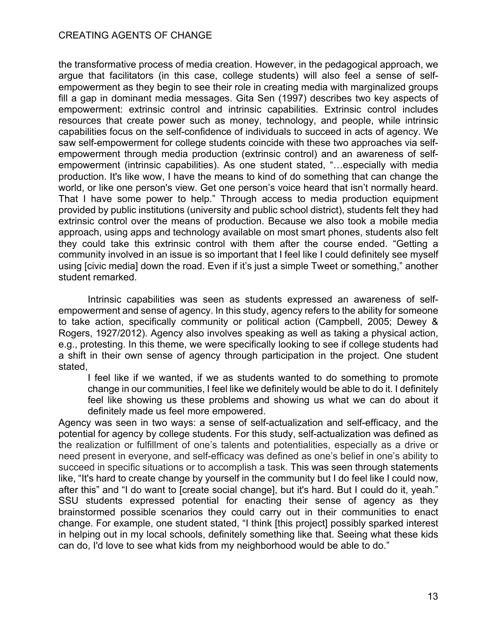the transformative process of media creation. However, in the pedagogical approach, we argue that facilitators (in this case, college students) will also feel a sense of selfempowerment as they begin to see their role in creating media with marginalized groups fill a gap in dominant media messages. Gita Sen (1997) describes two key aspects of empowerment: extrinsic control and intrinsic capabilities. Extrinsic control includes resources that create power such as money, technology, and people, while intrinsic capabilities focus on the self-confidence of individuals to succeed in acts of agency. We saw self-empowerment for college students coincide with these two approaches via selfempowerment through media production (extrinsic control) and an awareness of selfempowerment (intrinsic capabilities). As one student stated, "…especially with media production. It's like wow, I have the means to kind of do something that can change the world, or like one person's view. Get one person's voice heard that isn't normally heard. That I have some power to help." Through access to media production equipment provided by public institutions (university and public school district), students felt they had extrinsic control over the means of production. Because we also took a mobile media approach, using apps and technology available on most smart phones, students also felt they could take this extrinsic control with them after the course ended. "Getting a community involved in an issue is so important that I feel like I could definitely see myself using [civic media] down the road. Even if it's just a simple Tweet or something," another student remarked.

Intrinsic capabilities was seen as students expressed an awareness of selfempowerment and sense of agency. In this study, agency refers to the ability for someone to take action, specifically community or political action (Campbell, 2005; Dewey & Rogers, 1927/2012). Agency also involves speaking as well as taking a physical action, e.g., protesting. In this theme, we were specifically looking to see if college students had a shift in their own sense of agency through participation in the project. One student stated,

I feel like if we wanted, if we as students wanted to do something to promote change in our communities, I feel like we definitely would be able to do it. I definitely feel like showing us these problems and showing us what we can do about it definitely made us feel more empowered.

Agency was seen in two ways: a sense of self-actualization and self-efficacy, and the potential for agency by college students. For this study, self-actualization was defined as the realization or fulfillment of one's talents and potentialities, especially as a drive or need present in everyone, and self-efficacy was defined as one's belief in one's ability to succeed in specific situations or to accomplish a task. This was seen through statements like, "It's hard to create change by yourself in the community but I do feel like I could now, after this" and "I do want to [create social change], but it's hard. But I could do it, yeah." SSU students expressed potential for enacting their sense of agency as they brainstormed possible scenarios they could carry out in their communities to enact change. For example, one student stated, "I think [this project] possibly sparked interest in helping out in my local schools, definitely something like that. Seeing what these kids can do, I'd love to see what kids from my neighborhood would be able to do."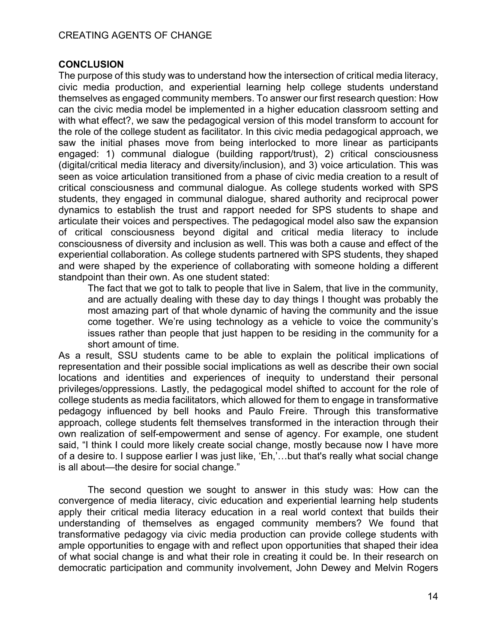# **CONCLUSION**

The purpose of this study was to understand how the intersection of critical media literacy, civic media production, and experiential learning help college students understand themselves as engaged community members. To answer our first research question: How can the civic media model be implemented in a higher education classroom setting and with what effect?, we saw the pedagogical version of this model transform to account for the role of the college student as facilitator. In this civic media pedagogical approach, we saw the initial phases move from being interlocked to more linear as participants engaged: 1) communal dialogue (building rapport/trust), 2) critical consciousness (digital/critical media literacy and diversity/inclusion), and 3) voice articulation. This was seen as voice articulation transitioned from a phase of civic media creation to a result of critical consciousness and communal dialogue. As college students worked with SPS students, they engaged in communal dialogue, shared authority and reciprocal power dynamics to establish the trust and rapport needed for SPS students to shape and articulate their voices and perspectives. The pedagogical model also saw the expansion of critical consciousness beyond digital and critical media literacy to include consciousness of diversity and inclusion as well. This was both a cause and effect of the experiential collaboration. As college students partnered with SPS students, they shaped and were shaped by the experience of collaborating with someone holding a different standpoint than their own. As one student stated:

The fact that we got to talk to people that live in Salem, that live in the community, and are actually dealing with these day to day things I thought was probably the most amazing part of that whole dynamic of having the community and the issue come together. We're using technology as a vehicle to voice the community's issues rather than people that just happen to be residing in the community for a short amount of time.

As a result, SSU students came to be able to explain the political implications of representation and their possible social implications as well as describe their own social locations and identities and experiences of inequity to understand their personal privileges/oppressions. Lastly, the pedagogical model shifted to account for the role of college students as media facilitators, which allowed for them to engage in transformative pedagogy influenced by bell hooks and Paulo Freire. Through this transformative approach, college students felt themselves transformed in the interaction through their own realization of self-empowerment and sense of agency. For example, one student said, "I think I could more likely create social change, mostly because now I have more of a desire to. I suppose earlier I was just like, 'Eh,'…but that's really what social change is all about—the desire for social change."

The second question we sought to answer in this study was: How can the convergence of media literacy, civic education and experiential learning help students apply their critical media literacy education in a real world context that builds their understanding of themselves as engaged community members? We found that transformative pedagogy via civic media production can provide college students with ample opportunities to engage with and reflect upon opportunities that shaped their idea of what social change is and what their role in creating it could be. In their research on democratic participation and community involvement, John Dewey and Melvin Rogers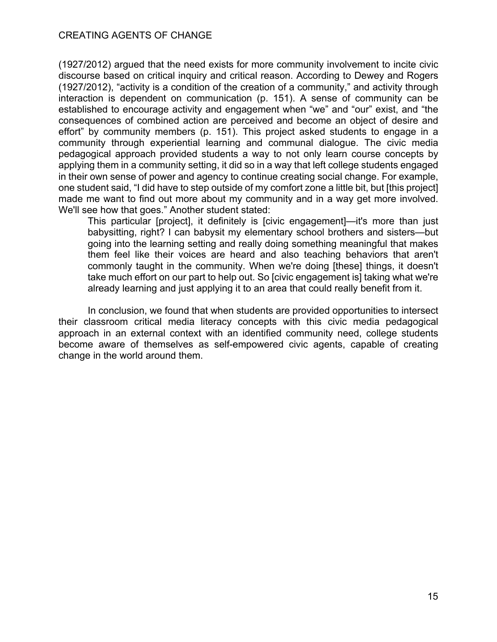(1927/2012) argued that the need exists for more community involvement to incite civic discourse based on critical inquiry and critical reason. According to Dewey and Rogers (1927/2012), "activity is a condition of the creation of a community," and activity through interaction is dependent on communication (p. 151). A sense of community can be established to encourage activity and engagement when "we" and "our" exist, and "the consequences of combined action are perceived and become an object of desire and effort" by community members (p. 151). This project asked students to engage in a community through experiential learning and communal dialogue. The civic media pedagogical approach provided students a way to not only learn course concepts by applying them in a community setting, it did so in a way that left college students engaged in their own sense of power and agency to continue creating social change. For example, one student said, "I did have to step outside of my comfort zone a little bit, but [this project] made me want to find out more about my community and in a way get more involved. We'll see how that goes." Another student stated:

This particular [project], it definitely is [civic engagement]—it's more than just babysitting, right? I can babysit my elementary school brothers and sisters—but going into the learning setting and really doing something meaningful that makes them feel like their voices are heard and also teaching behaviors that aren't commonly taught in the community. When we're doing [these] things, it doesn't take much effort on our part to help out. So [civic engagement is] taking what we're already learning and just applying it to an area that could really benefit from it.

In conclusion, we found that when students are provided opportunities to intersect their classroom critical media literacy concepts with this civic media pedagogical approach in an external context with an identified community need, college students become aware of themselves as self-empowered civic agents, capable of creating change in the world around them.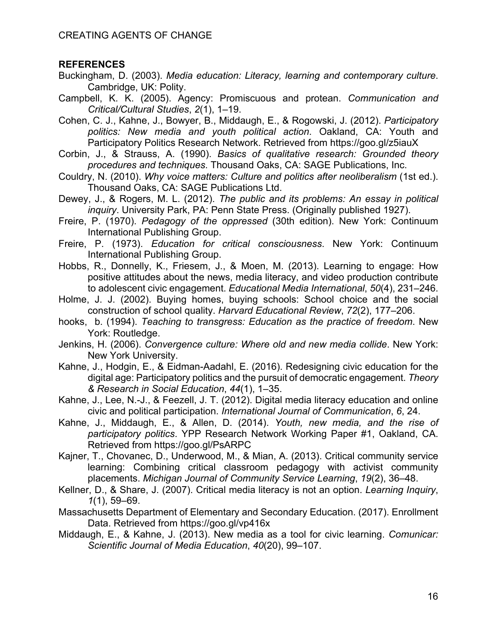# **REFERENCES**

- Buckingham, D. (2003). *Media education: Literacy, learning and contemporary culture*. Cambridge, UK: Polity.
- Campbell, K. K. (2005). Agency: Promiscuous and protean. *Communication and Critical/Cultural Studies*, *2*(1), 1–19.
- Cohen, C. J., Kahne, J., Bowyer, B., Middaugh, E., & Rogowski, J. (2012). *Participatory politics: New media and youth political action*. Oakland, CA: Youth and Participatory Politics Research Network. Retrieved from https://goo.gl/z5iauX
- Corbin, J., & Strauss, A. (1990). *Basics of qualitative research: Grounded theory procedures and techniques*. Thousand Oaks, CA: SAGE Publications, Inc.
- Couldry, N. (2010). *Why voice matters: Culture and politics after neoliberalism* (1st ed.). Thousand Oaks, CA: SAGE Publications Ltd.
- Dewey, J., & Rogers, M. L. (2012). *The public and its problems: An essay in political inquiry*. University Park, PA: Penn State Press. (Originally published 1927).
- Freire, P. (1970). *Pedagogy of the oppressed* (30th edition). New York: Continuum International Publishing Group.
- Freire, P. (1973). *Education for critical consciousness*. New York: Continuum International Publishing Group.
- Hobbs, R., Donnelly, K., Friesem, J., & Moen, M. (2013). Learning to engage: How positive attitudes about the news, media literacy, and video production contribute to adolescent civic engagement. *Educational Media International*, *50*(4), 231–246.
- Holme, J. J. (2002). Buying homes, buying schools: School choice and the social construction of school quality. *Harvard Educational Review*, *72*(2), 177–206.
- hooks, b. (1994). *Teaching to transgress: Education as the practice of freedom*. New York: Routledge.
- Jenkins, H. (2006). *Convergence culture: Where old and new media collide*. New York: New York University.
- Kahne, J., Hodgin, E., & Eidman-Aadahl, E. (2016). Redesigning civic education for the digital age: Participatory politics and the pursuit of democratic engagement. *Theory & Research in Social Education*, *44*(1), 1–35.
- Kahne, J., Lee, N.-J., & Feezell, J. T. (2012). Digital media literacy education and online civic and political participation. *International Journal of Communication*, *6*, 24.
- Kahne, J., Middaugh, E., & Allen, D. (2014). *Youth, new media, and the rise of participatory politics*. YPP Research Network Working Paper #1, Oakland, CA. Retrieved from https://goo.gl/PsARPC
- Kajner, T., Chovanec, D., Underwood, M., & Mian, A. (2013). Critical community service learning: Combining critical classroom pedagogy with activist community placements. *Michigan Journal of Community Service Learning*, *19*(2), 36–48.
- Kellner, D., & Share, J. (2007). Critical media literacy is not an option. *Learning Inquiry*, *1*(1), 59–69.
- Massachusetts Department of Elementary and Secondary Education. (2017). Enrollment Data. Retrieved from https://goo.gl/vp416x
- Middaugh, E., & Kahne, J. (2013). New media as a tool for civic learning. *Comunicar: Scientific Journal of Media Education*, *40*(20), 99–107.